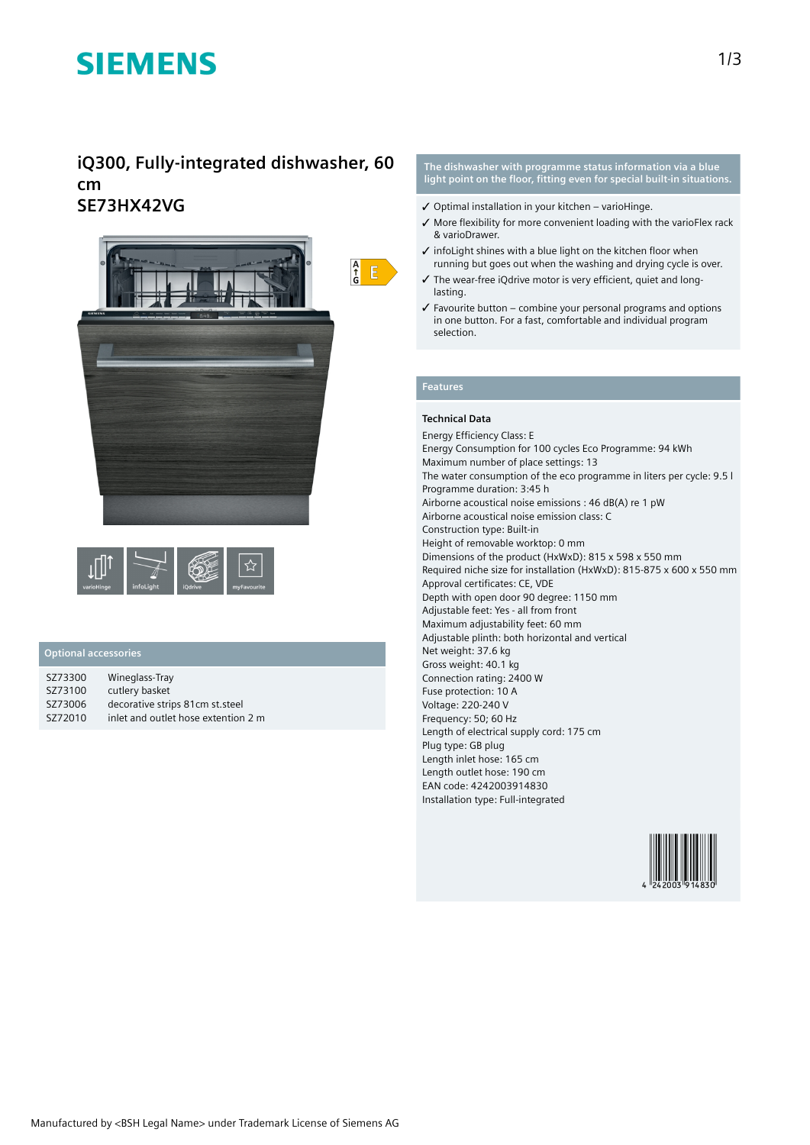# **SIEMENS**

## **iQ300, Fully-integrated dishwasher, 60 cm SE73HX42VG**





### **Optional accessories**

| SZ73300 | Wineglass-Tray                      |
|---------|-------------------------------------|
| SZ73100 | cutlery basket                      |
| SZ73006 | decorative strips 81cm st.steel     |
| SZ72010 | inlet and outlet hose extention 2 m |

**The dishwasher with programme status information via a blue light point on the floor, fitting even for special built-in situations.**

- $\checkmark$  Optimal installation in your kitchen varioHinge.
- ✓ More flexibility for more convenient loading with the varioFlex rack & varioDrawer.
- ✓ infoLight shines with a blue light on the kitchen floor when running but goes out when the washing and drying cycle is over.
- ✓ The wear-free iQdrive motor is very efficient, quiet and longlasting.
- ✓ Favourite button combine your personal programs and options in one button. For a fast, comfortable and individual program selection.

### **Features**

### **Technical Data**

Energy Efficiency Class: E Energy Consumption for 100 cycles Eco Programme: 94 kWh Maximum number of place settings: 13 The water consumption of the eco programme in liters per cycle: 9.5 l Programme duration: 3:45 h Airborne acoustical noise emissions : 46 dB(A) re 1 pW Airborne acoustical noise emission class: C Construction type: Built-in Height of removable worktop: 0 mm Dimensions of the product (HxWxD): 815 x 598 x 550 mm Required niche size for installation (HxWxD): 815-875 x 600 x 550 mm Approval certificates: CE, VDE Depth with open door 90 degree: 1150 mm Adjustable feet: Yes - all from front Maximum adjustability feet: 60 mm Adjustable plinth: both horizontal and vertical Net weight: 37.6 kg Gross weight: 40.1 kg Connection rating: 2400 W Fuse protection: 10 A Voltage: 220-240 V Frequency: 50; 60 Hz Length of electrical supply cord: 175 cm Plug type: GB plug Length inlet hose: 165 cm Length outlet hose: 190 cm EAN code: 4242003914830 Installation type: Full-integrated

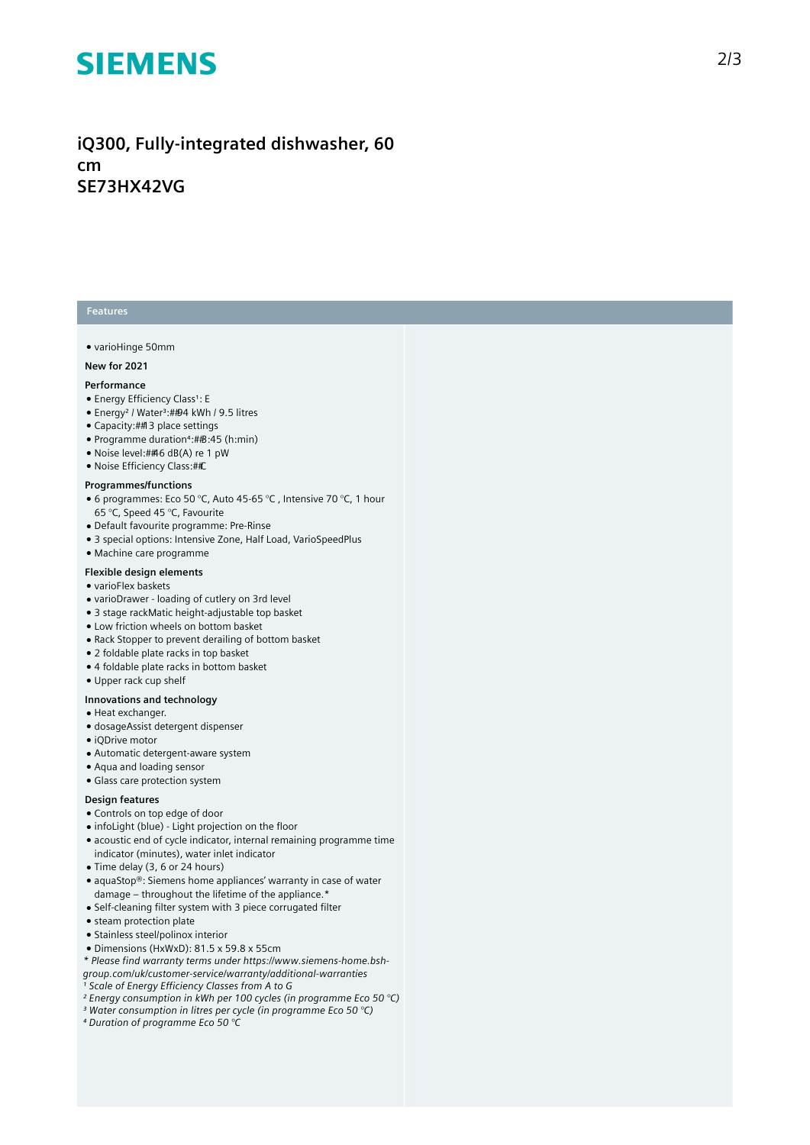# **SIEMENS**

# iQ300, Fully-integrated dishwasher, 60 cm<br>SE73HX42VG

#### **Features**

#### • varioHinge 50mm

#### **N e w f o r 2 0 2 1**

#### **P e r f o r m a n c e**

- Energy Efficiency Class<sup>1</sup>: E
- Energy<sup>2</sup> / Water<sup>3</sup>:##94 kWh / 9.5 litres
- Capacity: ## 3 place settings
- Programme duration<sup>4</sup>:##B:45 (h:min)
- Noise level:##6 dB(A) re 1 pW
- Noise Efficiency Class:##C

#### **Programmes/functions**

- $\bullet$  6 programmes: Eco 50 °C, Auto 45-65 °C , Intensive 70 °C, 1 hour 65 °C, Speed 45 °C, Favourite
- Default favourite programme: Pre-Rinse
- 3 special options: Intensive Zone, Half Load, VarioSpeedPlus
- Machine care programme

### **Flexible design elements**

#### • varioFlex baskets

- varioDrawer loading of cutlery on 3rd level
- 3 stage rackMatic height-adjustable top basket
- Low friction wheels on bottom basket
- Rack Stopper to prevent derailing of bottom basket
- 2 foldable plate racks in top basket
- 4 foldable plate racks in bottom basket
- Upper rack cup shelf

#### **lnnovations and technology**

- Heat exchanger.
- dosageAssist detergent dispenser
- iQDrive motor
- Automatic detergent-aware system
- Aqua and loading sensor
- Glass care protection system

#### Design features

- Controls on top edge of door
- $\bullet$  infoLight (blue) Light projection on the floor
- $\bullet$  acoustic end of cycle indicator, internal remaining programme time indicator (minutes), water inlet indicator
- Time delay (3, 6 or 24 hours)
- aquaStop®: Siemens home appliances' warranty in case of water ' damage – throughout the lifetime of the appliance.\*
- Self-cleaning filter system with 3 piece corrugated filter
- steam protection plate
- Stainless steel/polinox interior
- Dimensions (HxWxD): 81.5 x 59.8 x 55cm
- *\* Please find warranty terms under https://www.siemens-home.bsh-*
- *group.com/uk/customer-service/warranty/additional-warranties*
- *¹ Scale of Energy Efficiency Classes from A to G*
- *² Energy consumption in kWh per 100 cycles (in programme Eco 50 °C)*
- *³ Water consumption in litres per cycle (in programme Eco 50 °C)*
- *⁴ Duration of programme Eco 50 °C*